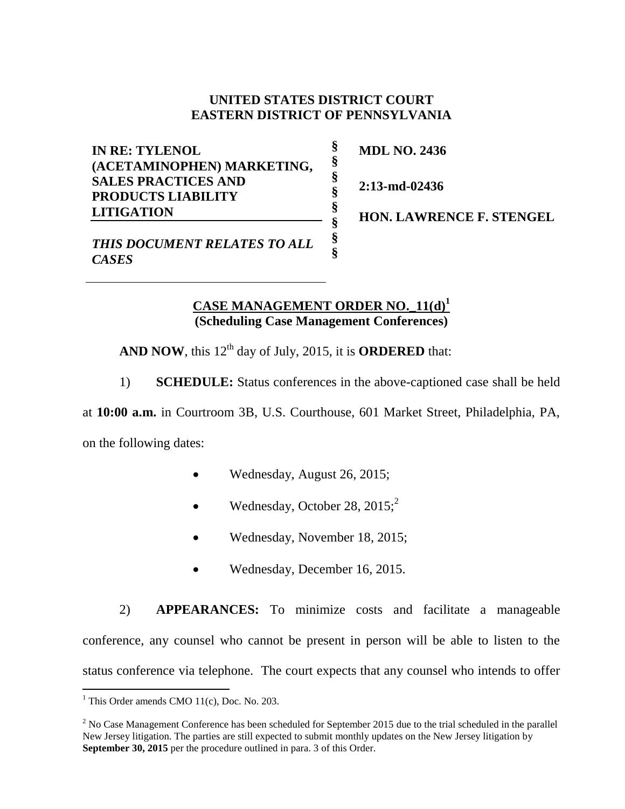## **UNITED STATES DISTRICT COURT EASTERN DISTRICT OF PENNSYLVANIA**

**§ § § § § § § §**

**IN RE: TYLENOL (ACETAMINOPHEN) MARKETING, SALES PRACTICES AND PRODUCTS LIABILITY LITIGATION**

**MDL NO. 2436**

**2:13-md-02436**

**HON. LAWRENCE F. STENGEL** 

*THIS DOCUMENT RELATES TO ALL CASES*

## **CASE MANAGEMENT ORDER NO.\_11(d) 1 (Scheduling Case Management Conferences)**

**AND NOW, this 12<sup>th</sup> day of July, 2015, it is <b>ORDERED** that:

1) **SCHEDULE:** Status conferences in the above-captioned case shall be held

at **10:00 a.m.** in Courtroom 3B, U.S. Courthouse, 601 Market Street, Philadelphia, PA,

on the following dates:

- Wednesday, August 26, 2015;
- Wednesday, October 28,  $2015$ ;<sup>2</sup>
- Wednesday, November 18, 2015;
- Wednesday, December 16, 2015.

2) **APPEARANCES:** To minimize costs and facilitate a manageable conference, any counsel who cannot be present in person will be able to listen to the status conference via telephone. The court expects that any counsel who intends to offer

 $\overline{a}$  $<sup>1</sup>$  This Order amends CMO 11(c), Doc. No. 203.</sup>

 $2$  No Case Management Conference has been scheduled for September 2015 due to the trial scheduled in the parallel New Jersey litigation. The parties are still expected to submit monthly updates on the New Jersey litigation by **September 30, 2015** per the procedure outlined in para. 3 of this Order.